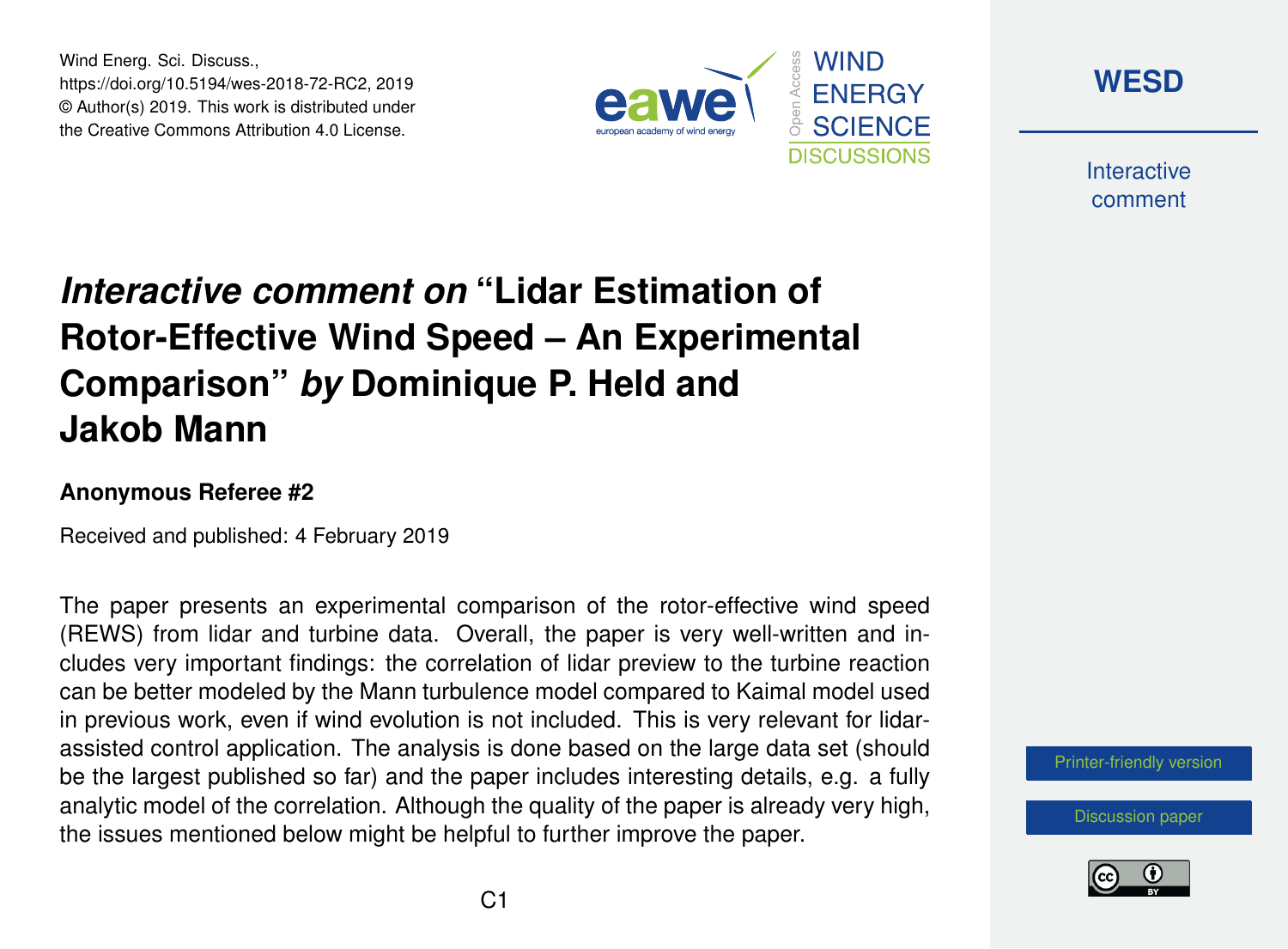Wind Energ. Sci. Discuss., https://doi.org/10.5194/wes-2018-72-RC2, 2019 © Author(s) 2019. This work is distributed under the Creative Commons Attribution 4.0 License.





**Interactive** comment

# *Interactive comment on* **"Lidar Estimation of Rotor-Effective Wind Speed – An Experimental Comparison"** *by* **Dominique P. Held and Jakob Mann**

#### **Anonymous Referee #2**

Received and published: 4 February 2019

The paper presents an experimental comparison of the rotor-effective wind speed (REWS) from lidar and turbine data. Overall, the paper is very well-written and includes very important findings: the correlation of lidar preview to the turbine reaction can be better modeled by the Mann turbulence model compared to Kaimal model used in previous work, even if wind evolution is not included. This is very relevant for lidarassisted control application. The analysis is done based on the large data set (should be the largest published so far) and the paper includes interesting details, e.g. a fully analytic model of the correlation. Although the quality of the paper is already very high, the issues mentioned below might be helpful to further improve the paper.

[Printer-friendly version](https://www.wind-energ-sci-discuss.net/wes-2018-72/wes-2018-72-RC2-print.pdf)

[Discussion paper](https://www.wind-energ-sci-discuss.net/wes-2018-72)

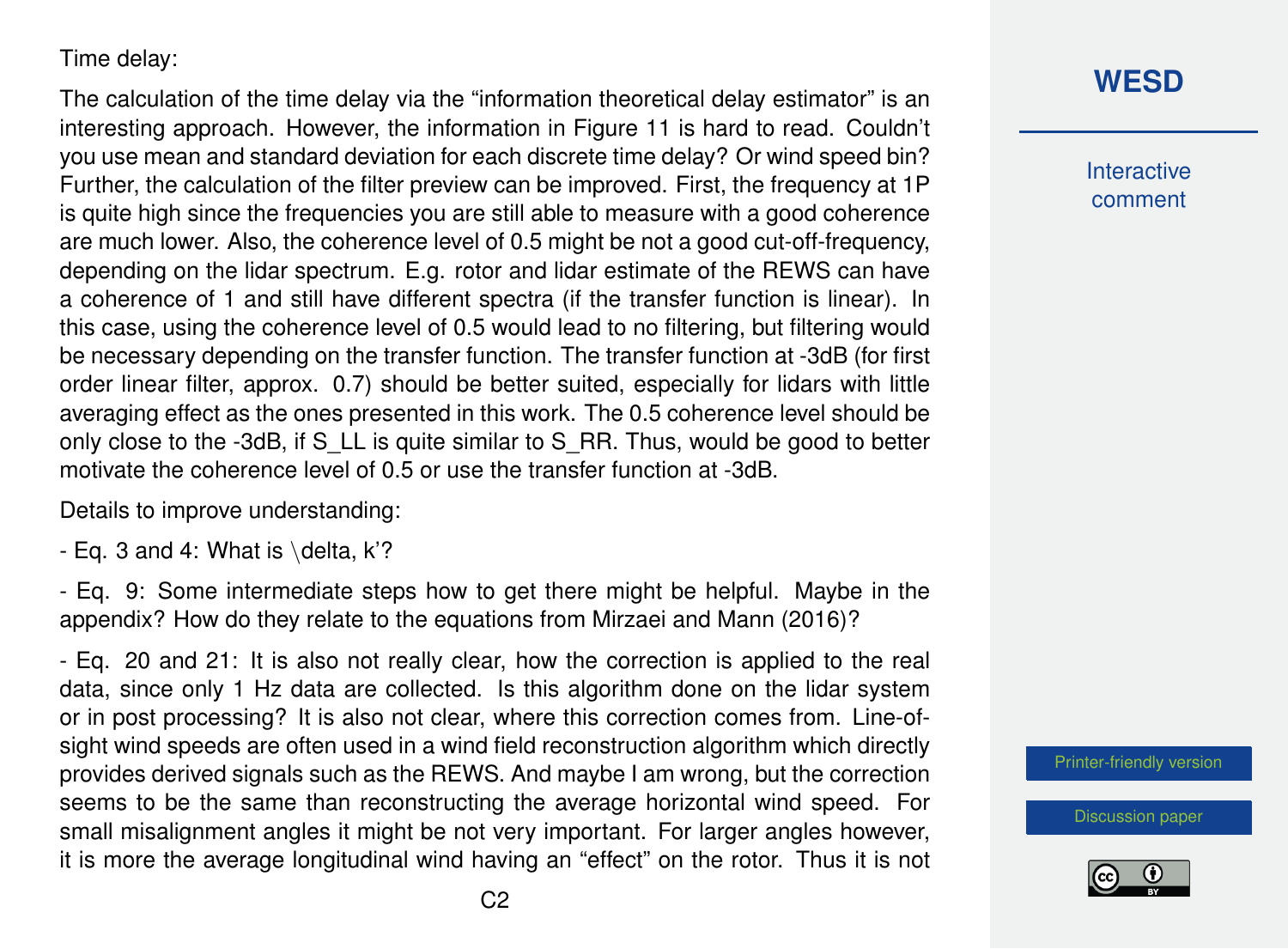#### Time delay:

The calculation of the time delay via the "information theoretical delay estimator" is an interesting approach. However, the information in Figure 11 is hard to read. Couldn't you use mean and standard deviation for each discrete time delay? Or wind speed bin? Further, the calculation of the filter preview can be improved. First, the frequency at 1P is quite high since the frequencies you are still able to measure with a good coherence are much lower. Also, the coherence level of 0.5 might be not a good cut-off-frequency, depending on the lidar spectrum. E.g. rotor and lidar estimate of the REWS can have a coherence of 1 and still have different spectra (if the transfer function is linear). In this case, using the coherence level of 0.5 would lead to no filtering, but filtering would be necessary depending on the transfer function. The transfer function at -3dB (for first order linear filter, approx. 0.7) should be better suited, especially for lidars with little averaging effect as the ones presented in this work. The 0.5 coherence level should be only close to the -3dB, if S\_LL is quite similar to S\_RR. Thus, would be good to better motivate the coherence level of 0.5 or use the transfer function at -3dB.

Details to improve understanding:

- Eq. 3 and 4: What is  $\delta$ , K'?

- Eq. 9: Some intermediate steps how to get there might be helpful. Maybe in the appendix? How do they relate to the equations from Mirzaei and Mann (2016)?

- Eq. 20 and 21: It is also not really clear, how the correction is applied to the real data, since only 1 Hz data are collected. Is this algorithm done on the lidar system or in post processing? It is also not clear, where this correction comes from. Line-ofsight wind speeds are often used in a wind field reconstruction algorithm which directly provides derived signals such as the REWS. And maybe I am wrong, but the correction seems to be the same than reconstructing the average horizontal wind speed. For small misalignment angles it might be not very important. For larger angles however, it is more the average longitudinal wind having an "effect" on the rotor. Thus it is not

## **[WESD](https://www.wind-energ-sci-discuss.net/)**

**Interactive** comment

[Printer-friendly version](https://www.wind-energ-sci-discuss.net/wes-2018-72/wes-2018-72-RC2-print.pdf)

[Discussion paper](https://www.wind-energ-sci-discuss.net/wes-2018-72)